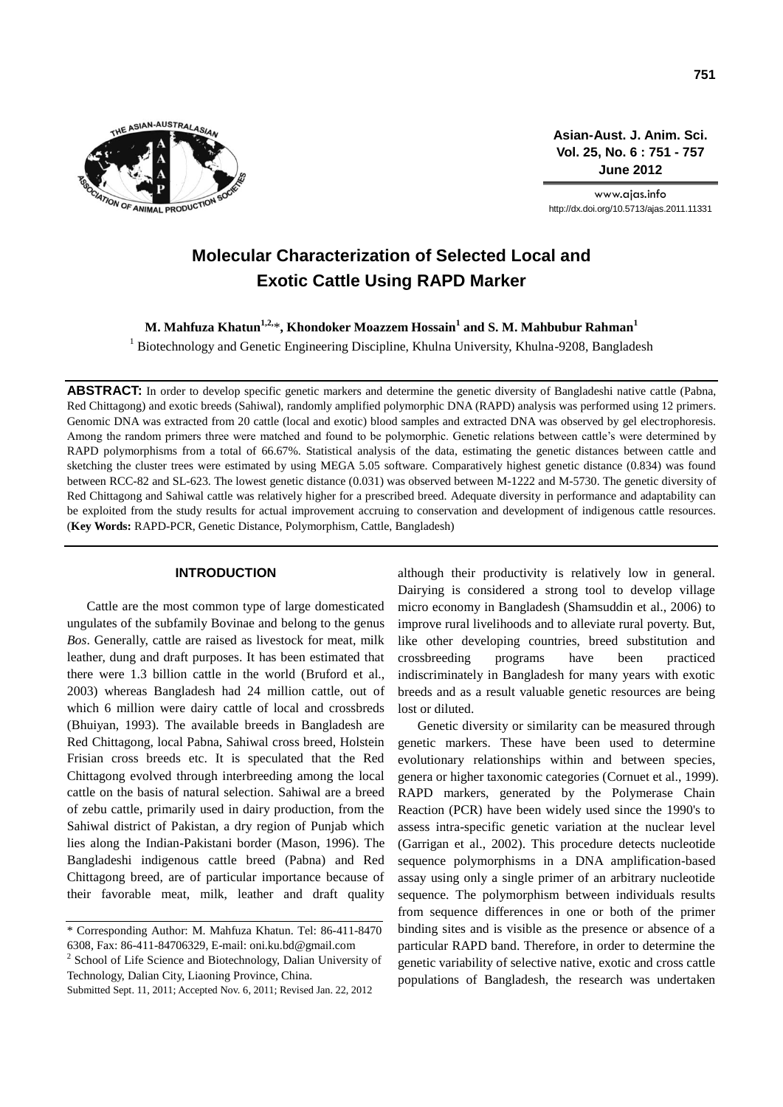

**Asian-Aust. J. Anim. Sci. Vol. 25, No. 6 : 751 - 757 June 2012**

www.ajas.info http://dx.doi.org/10.5713/ajas.2011.11331

# **Molecular Characterization of Selected Local and Exotic Cattle Using RAPD Marker**

**M. Mahfuza Khatun1,2,** \***, Khondoker Moazzem Hossain<sup>1</sup> and S. M. Mahbubur Rahman<sup>1</sup>**

<sup>1</sup> Biotechnology and Genetic Engineering Discipline, Khulna University, Khulna-9208, Bangladesh

**ABSTRACT:** In order to develop specific genetic markers and determine the genetic diversity of Bangladeshi native cattle (Pabna, Red Chittagong) and exotic breeds (Sahiwal), randomly amplified polymorphic DNA (RAPD) analysis was performed using 12 primers. Genomic DNA was extracted from 20 cattle (local and exotic) blood samples and extracted DNA was observed by gel electrophoresis. Among the random primers three were matched and found to be polymorphic. Genetic relations between cattle's were determined by RAPD polymorphisms from a total of 66.67%. Statistical analysis of the data, estimating the genetic distances between cattle and sketching the cluster trees were estimated by using MEGA 5.05 software. Comparatively highest genetic distance (0.834) was found between RCC-82 and SL-623. The lowest genetic distance (0.031) was observed between M-1222 and M-5730. The genetic diversity of Red Chittagong and Sahiwal cattle was relatively higher for a prescribed breed. Adequate diversity in performance and adaptability can be exploited from the study results for actual improvement accruing to conservation and development of indigenous cattle resources. (**Key Words:** RAPD-PCR, Genetic Distance, Polymorphism, Cattle, Bangladesh)

## **INTRODUCTION**

Cattle are the most common type of large domesticated ungulates of the subfamily Bovinae and belong to the genus *Bos*. Generally, cattle are raised as livestock for meat, milk leather, dung and draft purposes. It has been estimated that there were 1.3 billion cattle in the world (Bruford et al., 2003) whereas Bangladesh had 24 million cattle, out of which 6 million were dairy cattle of local and crossbreds (Bhuiyan, 1993). The available breeds in Bangladesh are Red Chittagong, local Pabna, Sahiwal cross breed, Holstein Frisian cross breeds etc. It is speculated that the Red Chittagong evolved through interbreeding among the local cattle on the basis of natural selection. Sahiwal are a breed of zebu cattle, primarily used in dairy production, from the Sahiwal district of Pakistan, a dry region of Punjab which lies along the Indian-Pakistani border (Mason, 1996). The Bangladeshi indigenous cattle breed (Pabna) and Red Chittagong breed, are of particular importance because of their favorable meat, milk, leather and draft quality

<sup>2</sup> School of Life Science and Biotechnology, Dalian University of Technology, Dalian City, Liaoning Province, China.

although their productivity is relatively low in general. Dairying is considered a strong tool to develop village micro economy in Bangladesh (Shamsuddin et al., 2006) to improve rural livelihoods and to alleviate rural poverty. But, like other developing countries, breed substitution and crossbreeding programs have been practiced indiscriminately in Bangladesh for many years with exotic breeds and as a result valuable genetic resources are being lost or diluted.

Genetic diversity or similarity can be measured through genetic markers. These have been used to determine evolutionary relationships within and between species, genera or higher taxonomic categories (Cornuet et al., 1999). RAPD markers, generated by the Polymerase Chain Reaction (PCR) have been widely used since the 1990's to assess intra-specific genetic variation at the nuclear level (Garrigan et al., 2002). This procedure detects nucleotide sequence polymorphisms in a DNA amplification-based assay using only a single primer of an arbitrary nucleotide sequence. The polymorphism between individuals results from sequence differences in one or both of the primer binding sites and is visible as the presence or absence of a particular RAPD band. Therefore, in order to determine the genetic variability of selective native, exotic and cross cattle populations of Bangladesh, the research was undertaken

<sup>\*</sup> Corresponding Author: M. Mahfuza Khatun. Tel: 86-411-8470 6308, Fax: 86-411-84706329, E-mail: oni.ku.bd@gmail.com

Submitted Sept. 11, 2011; Accepted Nov. 6, 2011; Revised Jan. 22, 2012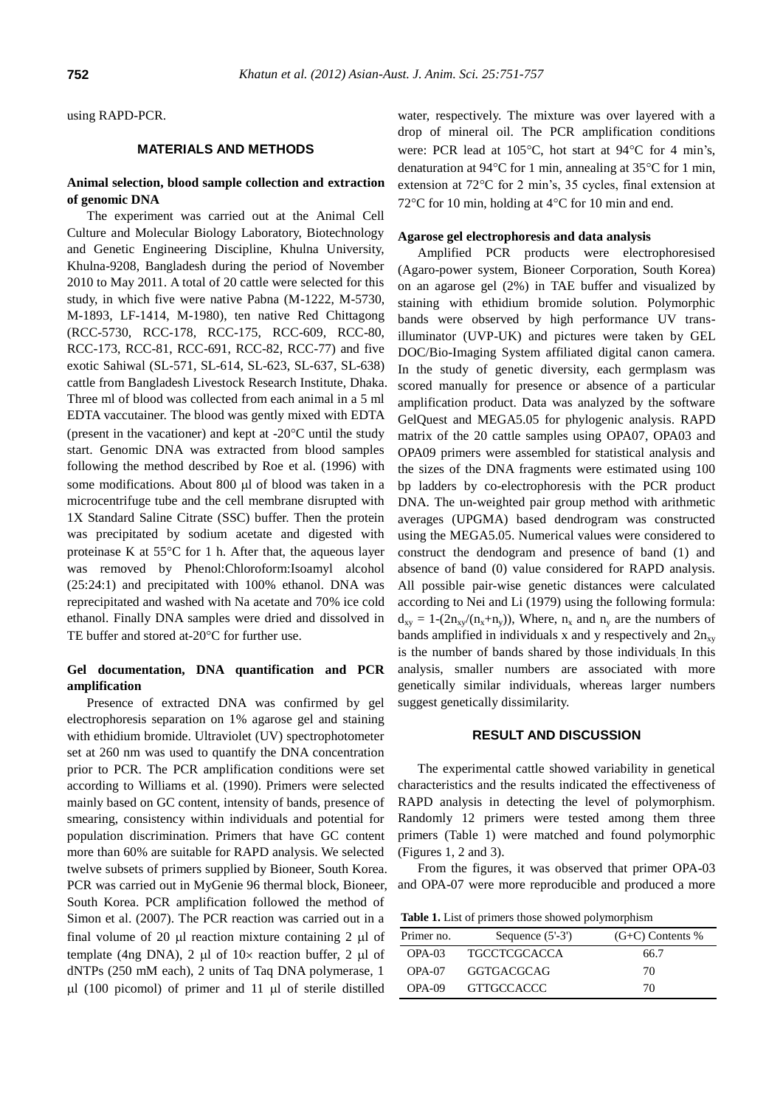using RAPD-PCR.

# **MATERIALS AND METHODS**

# **Animal selection, blood sample collection and extraction of genomic DNA**

The experiment was carried out at the Animal Cell Culture and Molecular Biology Laboratory, Biotechnology and Genetic Engineering Discipline, Khulna University, Khulna-9208, Bangladesh during the period of November 2010 to May 2011. A total of 20 cattle were selected for this study, in which five were native Pabna (M-1222, M-5730, M-1893, LF-1414, M-1980), ten native Red Chittagong (RCC-5730, RCC-178, RCC-175, RCC-609, RCC-80, RCC-173, RCC-81, RCC-691, RCC-82, RCC-77) and five exotic Sahiwal (SL-571, SL-614, SL-623, SL-637, SL-638) cattle from Bangladesh Livestock Research Institute, Dhaka. Three ml of blood was collected from each animal in a 5 ml EDTA vaccutainer. The blood was gently mixed with EDTA (present in the vacationer) and kept at  $-20^{\circ}$ C until the study start. Genomic DNA was extracted from blood samples following the method described by Roe et al. (1996) with some modifications. About 800 µl of blood was taken in a microcentrifuge tube and the cell membrane disrupted with 1X Standard Saline Citrate (SSC) buffer. Then the protein was precipitated by sodium acetate and digested with proteinase K at  $55^{\circ}$ C for 1 h. After that, the aqueous layer was removed by Phenol:Chloroform:Isoamyl alcohol (25:24:1) and precipitated with 100% ethanol. DNA was reprecipitated and washed with Na acetate and 70% ice cold ethanol. Finally DNA samples were dried and dissolved in TE buffer and stored at-20°C for further use.

# **Gel documentation, DNA quantification and PCR amplification**

Presence of extracted DNA was confirmed by gel electrophoresis separation on 1% agarose gel and staining with ethidium bromide. Ultraviolet (UV) spectrophotometer set at 260 nm was used to quantify the DNA concentration prior to PCR. The PCR amplification conditions were set according to Williams et al. (1990). Primers were selected mainly based on GC content, intensity of bands, presence of smearing, consistency within individuals and potential for population discrimination. Primers that have GC content more than 60% are suitable for RAPD analysis. We selected twelve subsets of primers supplied by Bioneer, South Korea. PCR was carried out in MyGenie 96 thermal block, Bioneer, South Korea. PCR amplification followed the method of Simon et al. (2007). The PCR reaction was carried out in a final volume of 20  $\mu$ l reaction mixture containing 2  $\mu$ l of template (4ng DNA), 2  $\mu$ l of 10x reaction buffer, 2  $\mu$ l of dNTPs (250 mM each), 2 units of Taq DNA polymerase, 1  $\mu$ l (100 picomol) of primer and 11  $\mu$ l of sterile distilled

water, respectively. The mixture was over layered with a drop of mineral oil. The PCR amplification conditions were: PCR lead at 105°C, hot start at 94°C for 4 min's, denaturation at 94 $\rm{°C}$  for 1 min, annealing at 35 $\rm{°C}$  for 1 min, extension at 72°C for 2 min's, 35 cycles, final extension at 72 $\rm{^{\circ}C}$  for 10 min, holding at 4 $\rm{^{\circ}C}$  for 10 min and end.

# **Agarose gel electrophoresis and data analysis**

Amplified PCR products were electrophoresised (Agaro-power system, Bioneer Corporation, South Korea) on an agarose gel (2%) in TAE buffer and visualized by staining with ethidium bromide solution. Polymorphic bands were observed by high performance UV transilluminator (UVP-UK) and pictures were taken by GEL DOC/Bio-Imaging System affiliated digital canon camera. In the study of genetic diversity, each germplasm was scored manually for presence or absence of a particular amplification product. Data was analyzed by the software GelQuest and MEGA5.05 for phylogenic analysis. RAPD matrix of the 20 cattle samples using OPA07, OPA03 and OPA09 primers were assembled for statistical analysis and the sizes of the DNA fragments were estimated using 100 bp ladders by co-electrophoresis with the PCR product DNA. The un-weighted pair group method with arithmetic averages (UPGMA) based dendrogram was constructed using the MEGA5.05. Numerical values were considered to construct the dendogram and presence of band (1) and absence of band (0) value considered for RAPD analysis. All possible pair-wise genetic distances were calculated according to Nei and Li (1979) using the following formula:  $d_{xy} = 1-(2n_{xy}/(n_x+n_y))$ , Where,  $n_x$  and  $n_y$  are the numbers of bands amplified in individuals x and y respectively and  $2n_{xy}$ is the number of bands shared by those individuals. In this analysis, smaller numbers are associated with more genetically similar individuals, whereas larger numbers suggest genetically dissimilarity.

#### **RESULT AND DISCUSSION**

The experimental cattle showed variability in genetical characteristics and the results indicated the effectiveness of RAPD analysis in detecting the level of polymorphism. Randomly 12 primers were tested among them three primers (Table 1) were matched and found polymorphic (Figures 1, 2 and 3).

From the figures, it was observed that primer OPA-03 and OPA-07 were more reproducible and produced a more

**Table 1.** List of primers those showed polymorphism

| Primer no. | Sequence $(5'-3')$  | $(G+C)$ Contents % |
|------------|---------------------|--------------------|
| $OPA-03$   | <b>TGCCTCGCACCA</b> | 66.7               |
| $OPA-07$   | <b>GGTGACGCAG</b>   | 70                 |
| $OPA-09$   | <b>GTTGCCACCC</b>   | 70                 |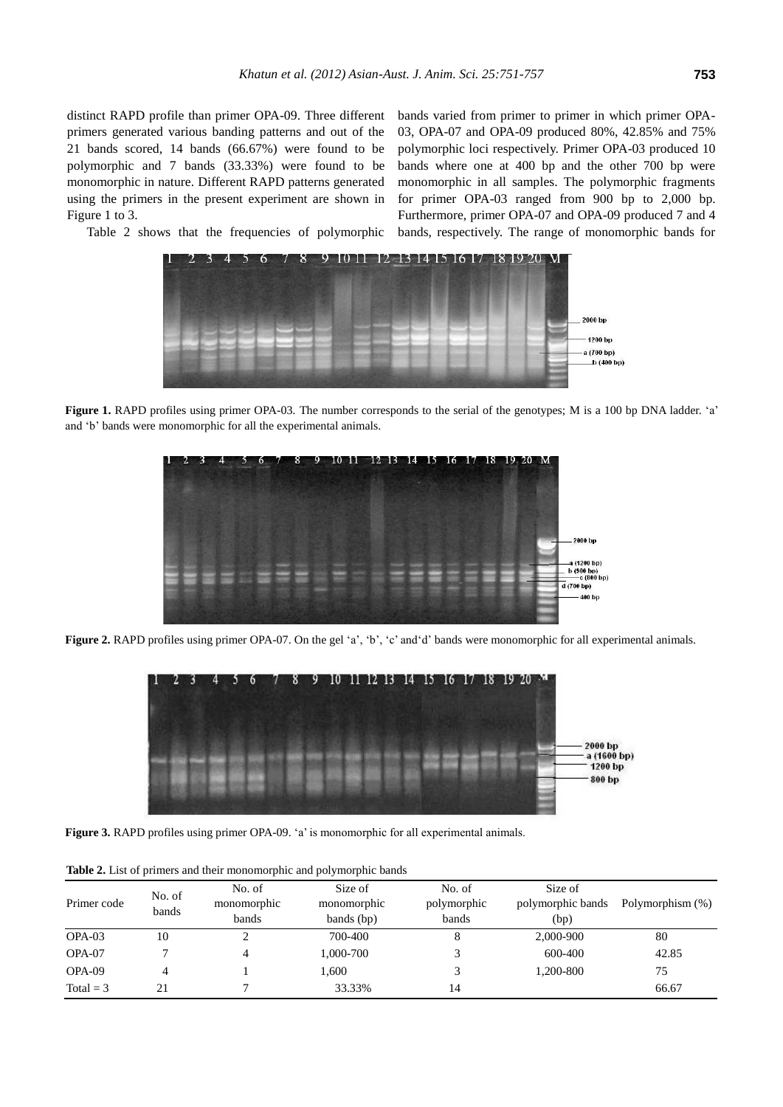distinct RAPD profile than primer OPA-09. Three different primers generated various banding patterns and out of the 21 bands scored, 14 bands (66.67%) were found to be polymorphic and 7 bands (33.33%) were found to be monomorphic in nature. Different RAPD patterns generated using the primers in the present experiment are shown in Figure 1 to 3.

bands varied from primer to primer in which primer OPA-03, OPA-07 and OPA-09 produced 80%, 42.85% and 75% polymorphic loci respectively. Primer OPA-03 produced 10 bands where one at 400 bp and the other 700 bp were monomorphic in all samples. The polymorphic fragments for primer OPA-03 ranged from 900 bp to 2,000 bp. Furthermore, primer OPA-07 and OPA-09 produced 7 and 4 bands, respectively. The range of monomorphic bands for

Table 2 shows that the frequencies of polymorphic



**Figure 1.** RAPD profiles using primer OPA-03*.* The number corresponds to the serial of the genotypes; M is a 100 bp DNA ladder. 'a' and 'b' bands were monomorphic for all the experimental animals.



Figure 2. RAPD profiles using primer OPA-07. On the gel 'a', 'b', 'c' and 'd' bands were monomorphic for all experimental animals.



**Figure 3.** RAPD profiles using primer OPA-09. 'a' is monomorphic for all experimental animals.

|             |                 |                                | <b>Rapid 2:</b> East of primers and their monomorphic and porymorphic bands |                                |                                      |                  |  |  |
|-------------|-----------------|--------------------------------|-----------------------------------------------------------------------------|--------------------------------|--------------------------------------|------------------|--|--|
| Primer code | No. of<br>bands | No. of<br>monomorphic<br>bands | Size of<br>monomorphic<br>bands (bp)                                        | No. of<br>polymorphic<br>bands | Size of<br>polymorphic bands<br>(bp) | Polymorphism (%) |  |  |
| $OPA-03$    | 10              | ◠                              | 700-400                                                                     |                                | 2,000-900                            | 80               |  |  |
| OPA-07      |                 | 4                              | 1,000-700                                                                   |                                | 600-400                              | 42.85            |  |  |
| OPA-09      |                 |                                | 1.600                                                                       |                                | 1.200-800                            | 75               |  |  |
| Total = $3$ | 21              |                                | 33.33%                                                                      | 14                             |                                      | 66.67            |  |  |

**Table 2.** List of primers and their monomorphic and polymorphic bands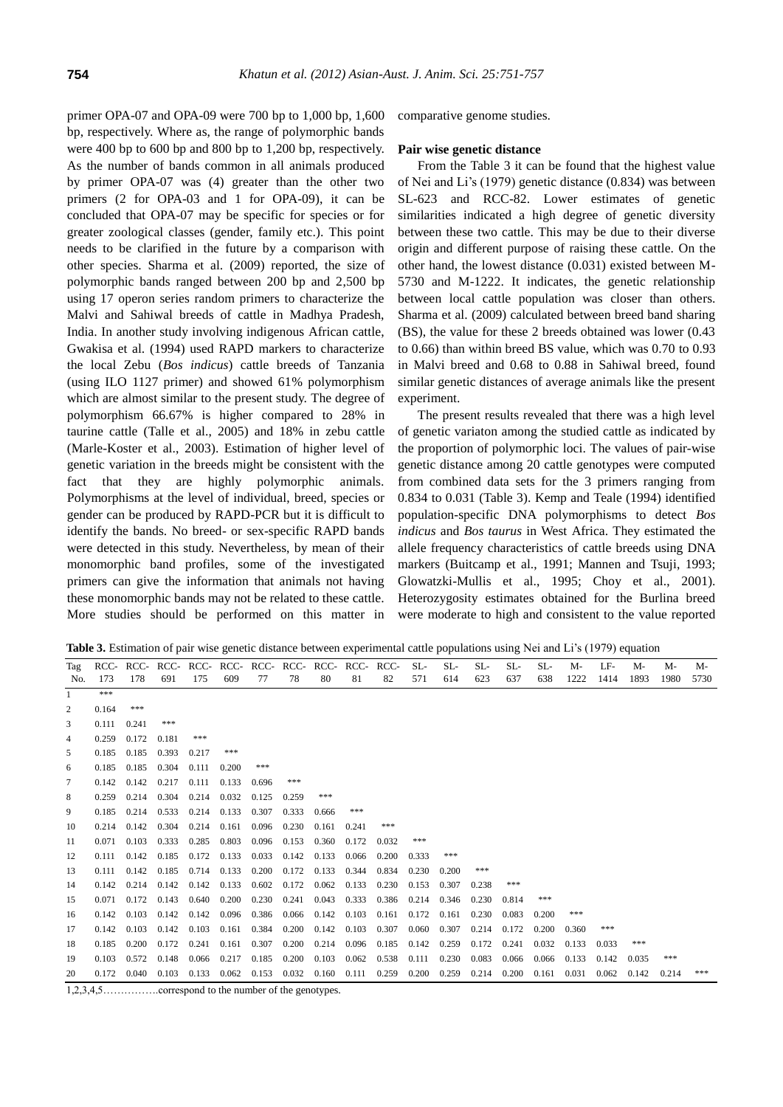primer OPA-07 and OPA-09 were 700 bp to 1,000 bp, 1,600 bp, respectively. Where as, the range of polymorphic bands were 400 bp to 600 bp and 800 bp to 1,200 bp, respectively. As the number of bands common in all animals produced by primer OPA-07 was (4) greater than the other two primers (2 for OPA-03 and 1 for OPA-09), it can be concluded that OPA-07 may be specific for species or for greater zoological classes (gender, family etc.). This point needs to be clarified in the future by a comparison with other species. Sharma et al. (2009) reported, the size of polymorphic bands ranged between 200 bp and 2,500 bp using 17 operon series random primers to characterize the Malvi and Sahiwal breeds of cattle in Madhya Pradesh, India. In another study involving indigenous African cattle, Gwakisa et al. (1994) used RAPD markers to characterize the local Zebu (*Bos indicus*) cattle breeds of Tanzania (using ILO 1127 primer) and showed 61% polymorphism which are almost similar to the present study. The degree of polymorphism 66.67% is higher compared to 28% in taurine cattle (Talle et al., 2005) and 18% in zebu cattle (Marle-Koster et al., 2003). Estimation of higher level of genetic variation in the breeds might be consistent with the fact that they are highly polymorphic animals. Polymorphisms at the level of individual, breed, species or gender can be produced by RAPD-PCR but it is difficult to identify the bands. No breed- or sex-specific RAPD bands were detected in this study. Nevertheless, by mean of their monomorphic band profiles, some of the investigated primers can give the information that animals not having these monomorphic bands may not be related to these cattle. More studies should be performed on this matter in

comparative genome studies.

## **Pair wise genetic distance**

From the Table 3 it can be found that the highest value of Nei and Li's (1979) genetic distance (0.834) was between SL-623 and RCC-82. Lower estimates of genetic similarities indicated a high degree of genetic diversity between these two cattle. This may be due to their diverse origin and different purpose of raising these cattle. On the other hand, the lowest distance (0.031) existed between M-5730 and M-1222. It indicates, the genetic relationship between local cattle population was closer than others. Sharma et al. (2009) calculated between breed band sharing (BS), the value for these 2 breeds obtained was lower (0.43 to 0.66) than within breed BS value, which was 0.70 to 0.93 in Malvi breed and 0.68 to 0.88 in Sahiwal breed, found similar genetic distances of average animals like the present experiment.

The present results revealed that there was a high level of genetic variaton among the studied cattle as indicated by the proportion of polymorphic loci. The values of pair-wise genetic distance among 20 cattle genotypes were computed from combined data sets for the 3 primers ranging from 0.834 to 0.031 (Table 3). Kemp and Teale (1994) identified population-specific DNA polymorphisms to detect *Bos indicus* and *Bos taurus* in West Africa. They estimated the allele frequency characteristics of cattle breeds using DNA markers (Buitcamp et al., 1991; Mannen and Tsuji, 1993; Glowatzki-Mullis et al., 1995; Choy et al., 2001). Heterozygosity estimates obtained for the Burlina breed were moderate to high and consistent to the value reported

**Table 3.** Estimation of pair wise genetic distance between experimental cattle populations using Nei and Li's (1979) equation

| Tag          | RCC-  | RCC-  |       |       |       |       |       |       |       |       | $SL-$ | $SL-$ | $SL-$ | $SL-$ | SL-   | $M-$  | LF-   | $M -$ | M-    | $M -$ |
|--------------|-------|-------|-------|-------|-------|-------|-------|-------|-------|-------|-------|-------|-------|-------|-------|-------|-------|-------|-------|-------|
| No.          | 173   | 178   | 691   | 175   | 609   | 77    | 78    | 80    | 81    | 82    | 571   | 614   | 623   | 637   | 638   | 1222  | 1414  | 1893  | 1980  | 5730  |
| $\mathbf{1}$ | ***   |       |       |       |       |       |       |       |       |       |       |       |       |       |       |       |       |       |       |       |
| 2            | 0.164 | ***   |       |       |       |       |       |       |       |       |       |       |       |       |       |       |       |       |       |       |
| 3            | 0.111 | 0.241 | ***   |       |       |       |       |       |       |       |       |       |       |       |       |       |       |       |       |       |
| 4            | 0.259 | 0.172 | 0.181 | ***   |       |       |       |       |       |       |       |       |       |       |       |       |       |       |       |       |
| 5            | 0.185 | 0.185 | 0.393 | 0.217 | ***   |       |       |       |       |       |       |       |       |       |       |       |       |       |       |       |
| 6            | 0.185 | 0.185 | 0.304 | 0.111 | 0.200 | ***   |       |       |       |       |       |       |       |       |       |       |       |       |       |       |
| 7            | 0.142 | 0.142 | 0.217 | 0.111 | 0.133 | 0.696 | ***   |       |       |       |       |       |       |       |       |       |       |       |       |       |
| 8            | 0.259 | 0.214 | 0.304 | 0.214 | 0.032 | 0.125 | 0.259 | ***   |       |       |       |       |       |       |       |       |       |       |       |       |
| 9            | 0.185 | 0.214 | 0.533 | 0.214 | 0.133 | 0.307 | 0.333 | 0.666 | ***   |       |       |       |       |       |       |       |       |       |       |       |
| 10           | 0.214 | 0.142 | 0.304 | 0.214 | 0.161 | 0.096 | 0.230 | 0.161 | 0.241 | ***   |       |       |       |       |       |       |       |       |       |       |
| 11           | 0.071 | 0.103 | 0.333 | 0.285 | 0.803 | 0.096 | 0.153 | 0.360 | 0.172 | 0.032 | ***   |       |       |       |       |       |       |       |       |       |
| 12           | 0.111 | 0.142 | 0.185 | 0.172 | 0.133 | 0.033 | 0.142 | 0.133 | 0.066 | 0.200 | 0.333 | ***   |       |       |       |       |       |       |       |       |
| 13           | 0.111 | 0.142 | 0.185 | 0.714 | 0.133 | 0.200 | 0.172 | 0.133 | 0.344 | 0.834 | 0.230 | 0.200 | ***   |       |       |       |       |       |       |       |
| 14           | 0.142 | 0.214 | 0.142 | 0.142 | 0.133 | 0.602 | 0.172 | 0.062 | 0.133 | 0.230 | 0.153 | 0.307 | 0.238 | ***   |       |       |       |       |       |       |
| 15           | 0.071 | 0.172 | 0.143 | 0.640 | 0.200 | 0.230 | 0.241 | 0.043 | 0.333 | 0.386 | 0.214 | 0.346 | 0.230 | 0.814 | ***   |       |       |       |       |       |
| 16           | 0.142 | 0.103 | 0.142 | 0.142 | 0.096 | 0.386 | 0.066 | 0.142 | 0.103 | 0.161 | 0.172 | 0.161 | 0.230 | 0.083 | 0.200 | ***   |       |       |       |       |
| 17           | 0.142 | 0.103 | 0.142 | 0.103 | 0.161 | 0.384 | 0.200 | 0.142 | 0.103 | 0.307 | 0.060 | 0.307 | 0.214 | 0.172 | 0.200 | 0.360 | ***   |       |       |       |
| 18           | 0.185 | 0.200 | 0.172 | 0.241 | 0.161 | 0.307 | 0.200 | 0.214 | 0.096 | 0.185 | 0.142 | 0.259 | 0.172 | 0.241 | 0.032 | 0.133 | 0.033 | ***   |       |       |
| 19           | 0.103 | 0.572 | 0.148 | 0.066 | 0.217 | 0.185 | 0.200 | 0.103 | 0.062 | 0.538 | 0.111 | 0.230 | 0.083 | 0.066 | 0.066 | 0.133 | 0.142 | 0.035 | ***   |       |
| 20           | 0.172 | 0.040 | 0.103 | 0.133 | 0.062 | 0.153 | 0.032 | 0.160 | 0.111 | 0.259 | 0.200 | 0.259 | 0.214 | 0.200 | 0.161 | 0.031 | 0.062 | 0.142 | 0.214 | ***   |

1,2,3,4,5…………….correspond to the number of the genotypes.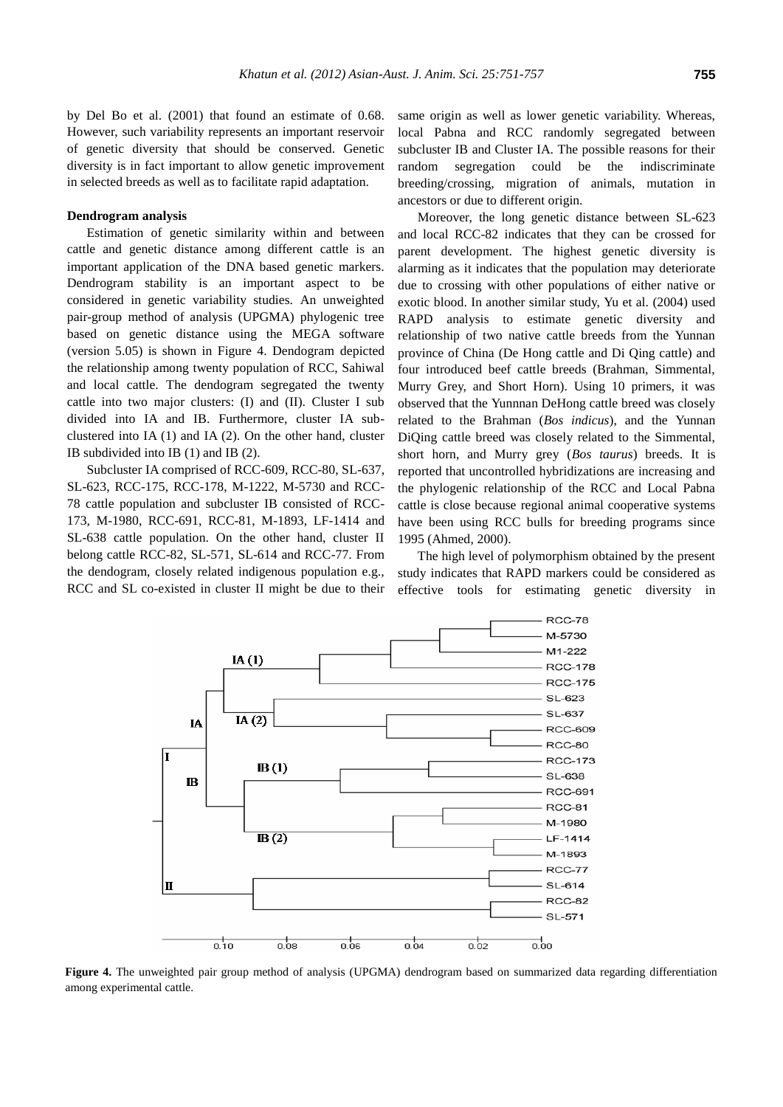by Del Bo et al. (2001) that found an estimate of 0.68. However, such variability represents an important reservoir of genetic diversity that should be conserved. Genetic diversity is in fact important to allow genetic improvement in selected breeds as well as to facilitate rapid adaptation.

#### **Dendrogram analysis**

Estimation of genetic similarity within and between cattle and genetic distance among different cattle is an important application of the DNA based genetic markers. Dendrogram stability is an important aspect to be considered in genetic variability studies. An unweighted pair-group method of analysis (UPGMA) phylogenic tree based on genetic distance using the MEGA software (version 5.05) is shown in Figure 4. Dendogram depicted the relationship among twenty population of RCC, Sahiwal and local cattle. The dendogram segregated the twenty cattle into two major clusters: (I) and (II). Cluster I sub divided into IA and IB. Furthermore, cluster IA subclustered into IA (1) and IA (2). On the other hand, cluster IB subdivided into IB (1) and IB (2).

Subcluster IA comprised of RCC-609, RCC-80, SL-637, SL-623, RCC-175, RCC-178, M-1222, M-5730 and RCC-78 cattle population and subcluster IB consisted of RCC-173, M-1980, RCC-691, RCC-81, M-1893, LF-1414 and SL-638 cattle population. On the other hand, cluster II belong cattle RCC-82, SL-571, SL-614 and RCC-77. From the dendogram, closely related indigenous population e.g., RCC and SL co-existed in cluster II might be due to their same origin as well as lower genetic variability. Whereas, local Pabna and RCC randomly segregated between subcluster IB and Cluster IA. The possible reasons for their random segregation could be the indiscriminate breeding/crossing, migration of animals, mutation in ancestors or due to different origin.

Moreover, the long genetic distance between SL-623 and local RCC-82 indicates that they can be crossed for parent development. The highest genetic diversity is alarming as it indicates that the population may deteriorate due to crossing with other populations of either native or exotic blood. In another similar study, Yu et al. (2004) used RAPD analysis to estimate genetic diversity and relationship of two native cattle breeds from the Yunnan province of China (De Hong cattle and Di Qing cattle) and four introduced beef cattle breeds (Brahman, Simmental, Murry Grey, and Short Horn). Using 10 primers, it was observed that the Yunnnan DeHong cattle breed was closely related to the Brahman (*Bos indicus*), and the Yunnan DiQing cattle breed was closely related to the Simmental, short horn, and Murry grey (*Bos taurus*) breeds. It is reported that uncontrolled hybridizations are increasing and the phylogenic relationship of the RCC and Local Pabna cattle is close because regional animal cooperative systems have been using RCC bulls for breeding programs since 1995 (Ahmed, 2000).

The high level of polymorphism obtained by the present study indicates that RAPD markers could be considered as effective tools for estimating genetic diversity in



**Figure 4.** The unweighted pair group method of analysis (UPGMA) dendrogram based on summarized data regarding differentiation among experimental cattle.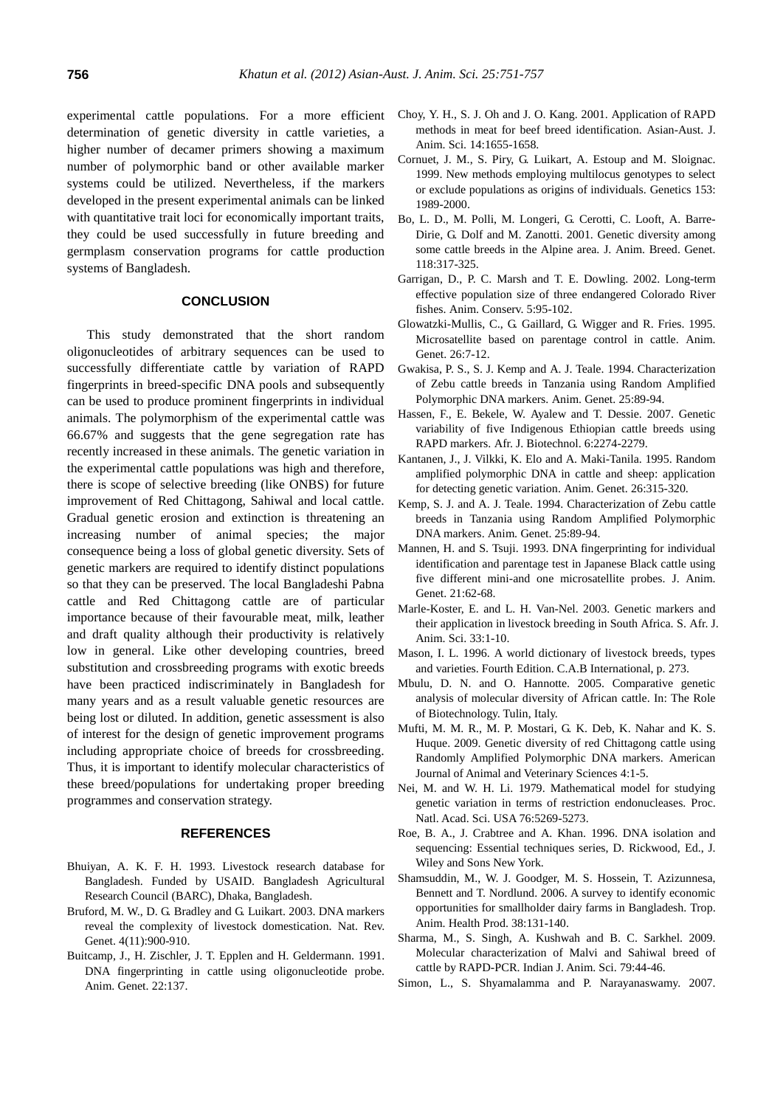experimental cattle populations. For a more efficient determination of genetic diversity in cattle varieties, a higher number of decamer primers showing a maximum number of polymorphic band or other available marker systems could be utilized. Nevertheless, if the markers developed in the present experimental animals can be linked with quantitative trait loci for economically important traits, they could be used successfully in future breeding and germplasm conservation programs for cattle production systems of Bangladesh.

# **CONCLUSION**

This study demonstrated that the short random oligonucleotides of arbitrary sequences can be used to successfully differentiate cattle by variation of RAPD fingerprints in breed-specific DNA pools and subsequently can be used to produce prominent fingerprints in individual animals. The polymorphism of the experimental cattle was 66.67% and suggests that the gene segregation rate has recently increased in these animals. The genetic variation in the experimental cattle populations was high and therefore, there is scope of selective breeding (like ONBS) for future improvement of Red Chittagong, Sahiwal and local cattle. Gradual genetic erosion and extinction is threatening an increasing number of animal species; the major consequence being a loss of global genetic diversity. Sets of genetic markers are required to identify distinct populations so that they can be preserved. The local Bangladeshi Pabna cattle and Red Chittagong cattle are of particular importance because of their favourable meat, milk, leather and draft quality although their productivity is relatively low in general. Like other developing countries, breed substitution and crossbreeding programs with exotic breeds have been practiced indiscriminately in Bangladesh for many years and as a result valuable genetic resources are being lost or diluted. In addition, genetic assessment is also of interest for the design of genetic improvement programs including appropriate choice of breeds for crossbreeding. Thus, it is important to identify molecular characteristics of these breed/populations for undertaking proper breeding programmes and conservation strategy.

#### **REFERENCES**

- Bhuiyan, A. K. F. H. 1993. Livestock research database for Bangladesh. Funded by USAID. Bangladesh Agricultural Research Council (BARC), Dhaka, Bangladesh.
- Bruford, M. W., D. G. Bradley and G. Luikart. 2003. DNA markers reveal the complexity of livestock domestication. Nat. Rev. Genet. 4(11):900-910.
- Buitcamp, J., H. Zischler, J. T. Epplen and H. Geldermann. 1991. DNA fingerprinting in cattle using oligonucleotide probe. Anim. Genet. 22:137.
- Choy, Y. H., S. J. Oh and J. O. Kang. 2001. Application of RAPD methods in meat for beef breed identification. Asian-Aust. J. Anim. Sci. 14:1655-1658.
- Cornuet, J. M., S. Piry, G. Luikart, A. Estoup and M. Sloignac. 1999. New methods employing multilocus genotypes to select or exclude populations as origins of individuals. Genetics 153: 1989-2000.
- Bo, L. D., M. Polli, M. Longeri, G. Cerotti, C. Looft, A. Barre-Dirie, G. Dolf and M. Zanotti. 2001. Genetic diversity among some cattle breeds in the Alpine area. J. Anim. Breed. Genet. 118:317-325.
- Garrigan, D., P. C. Marsh and T. E. Dowling. 2002. Long-term effective population size of three endangered Colorado River fishes. Anim. Conserv. 5:95-102.
- Glowatzki-Mullis, C., G. Gaillard, G. Wigger and R. Fries. 1995. Microsatellite based on parentage control in cattle. Anim. Genet. 26:7-12.
- Gwakisa, P. S., S. J. Kemp and A. J. Teale. 1994. Characterization of Zebu cattle breeds in Tanzania using Random Amplified Polymorphic DNA markers. Anim. Genet. 25:89-94.
- Hassen, F., E. Bekele, W. Ayalew and T. Dessie. 2007. Genetic variability of five Indigenous Ethiopian cattle breeds using RAPD markers. Afr. J. Biotechnol. 6:2274-2279.
- Kantanen, J., J. Vilkki, K. Elo and A. Maki-Tanila. 1995. Random amplified polymorphic DNA in cattle and sheep: application for detecting genetic variation. Anim. Genet. 26:315-320.
- Kemp, S. J. and A. J. Teale. 1994. Characterization of Zebu cattle breeds in Tanzania using Random Amplified Polymorphic DNA markers. Anim. Genet. 25:89-94.
- Mannen, H. and S. Tsuji. 1993. DNA fingerprinting for individual identification and parentage test in Japanese Black cattle using five different mini-and one microsatellite probes. J. Anim. Genet. 21:62-68.
- Marle-Koster, E. and L. H. Van-Nel. 2003. Genetic markers and their application in livestock breeding in South Africa. S. Afr. J. Anim. Sci. 33:1-10.
- Mason, I. L. 1996. A world dictionary of livestock breeds, types and varieties. Fourth Edition. C.A.B International, p. 273.
- Mbulu, D. N. and O. Hannotte. 2005. Comparative genetic analysis of molecular diversity of African cattle. In: The Role of Biotechnology. Tulin, Italy.
- Mufti, M. M. R., M. P. Mostari, G. K. Deb, K. Nahar and K. S. Huque. 2009. Genetic diversity of red Chittagong cattle using Randomly Amplified Polymorphic DNA markers. American Journal of Animal and Veterinary Sciences 4:1-5.
- Nei, M. and W. H. Li. 1979. Mathematical model for studying genetic variation in terms of restriction endonucleases. Proc. Natl. Acad. Sci. USA 76:5269-5273.
- Roe, B. A., J. Crabtree and A. Khan. 1996. DNA isolation and sequencing: Essential techniques series, D. Rickwood, Ed., J. Wiley and Sons New York.
- Shamsuddin, M., W. J. Goodger, M. S. Hossein, T. Azizunnesa, Bennett and T. Nordlund. 2006. A survey to identify economic opportunities for smallholder dairy farms in Bangladesh. Trop. Anim. Health Prod. 38:131-140.
- Sharma, M., S. Singh, A. Kushwah and B. C. Sarkhel. 2009. Molecular characterization of Malvi and Sahiwal breed of cattle by RAPD-PCR. Indian J. Anim. Sci. 79:44-46.
- Simon, L., S. Shyamalamma and P. Narayanaswamy. 2007.